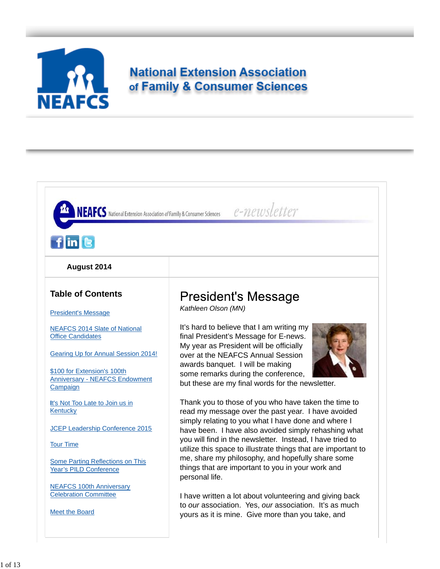

# **National Extension Association** of Family & Consumer Sciences

| $f$ in $\left[ \mathbf{e} \right]$                                               |                                                                                                                               |
|----------------------------------------------------------------------------------|-------------------------------------------------------------------------------------------------------------------------------|
|                                                                                  |                                                                                                                               |
| August 2014                                                                      |                                                                                                                               |
| <b>Table of Contents</b>                                                         | <b>President's Message</b><br>Kathleen Olson (MN)                                                                             |
| <b>President's Message</b>                                                       |                                                                                                                               |
| <b>NEAFCS 2014 Slate of National</b><br><b>Office Candidates</b>                 | It's hard to believe that I am writing my<br>final President's Message for E-news.<br>My year as President will be officially |
| Gearing Up for Annual Session 2014!                                              | over at the NEAFCS Annual Session                                                                                             |
| \$100 for Extension's 100th<br><b>Anniversary - NEAFCS Endowment</b><br>Campaign | awards banquet. I will be making<br>some remarks during the conference,<br>but these are my final words for the newsletter.   |
| It's Not Too Late to Join us in<br>Kentucky                                      | Thank you to those of you who have taken the time to<br>read my message over the past year. I have avoided                    |
| <b>JCEP Leadership Conference 2015</b>                                           | simply relating to you what I have done and where I<br>have been. I have also avoided simply rehashing what                   |
| <b>Tour Time</b>                                                                 | you will find in the newsletter. Instead, I have tried to<br>utilize this space to illustrate things that are important to    |
|                                                                                  | me, share my philosophy, and hopefully share some<br>things that are important to you in your work and                        |
|                                                                                  | personal life.                                                                                                                |
| Some Parting Reflections on This<br><b>Year's PILD Conference</b>                |                                                                                                                               |
| <b>NEAFCS 100th Anniversary</b><br><b>Celebration Committee</b>                  | I have written a lot about volunteering and giving back                                                                       |
| Meet the Board                                                                   | to our association. Yes, our association. It's as much<br>yours as it is mine. Give more than you take, and                   |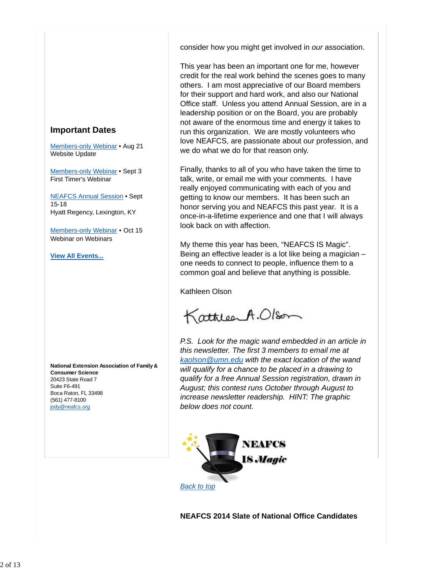consider how you might get involved in *our* association.

This year has been an important one for me, however credit for the real work behind the scenes goes to many others. I am most appreciative of our Board members for their support and hard work, and also our National Office staff. Unless you attend Annual Session, are in a leadership position or on the Board, you are probably not aware of the enormous time and energy it takes to run this organization. We are mostly volunteers who love NEAFCS, are passionate about our profession, and we do what we do for that reason only.

Finally, thanks to all of you who have taken the time to talk, write, or email me with your comments. I have really enjoyed communicating with each of you and getting to know our members. It has been such an honor serving you and NEAFCS this past year. It is a once-in-a-lifetime experience and one that I will always look back on with affection.

My theme this year has been, "NEAFCS IS Magic". Being an effective leader is a lot like being a magician – one needs to connect to people, influence them to a common goal and believe that anything is possible.

Kathleen Olson

KattleerA.Olson

*P.S. Look for the magic wand embedded in an article in this newsletter. The first 3 members to email me at kaolson@umn.edu with the exact location of the wand will qualify for a chance to be placed in a drawing to qualify for a free Annual Session registration, drawn in August; this contest runs October through August to increase newsletter readership. HINT: The graphic below does not count.*



**NEAFCS 2014 Slate of National Office Candidates**

# **Important Dates**

Members-only Webinar • Aug 21 Website Update

Members-only Webinar • Sept 3 First Timer's Webinar

NEAFCS Annual Session • Sept 15-18 Hyatt Regency, Lexington, KY

Members-only Webinar • Oct 15 Webinar on Webinars

**View All Events...**

**National Extension Association of Family & Consumer Science** 20423 State Road 7 Suite F6-491 Boca Raton, FL 33498 (561) 477-8100 jody@neafcs.org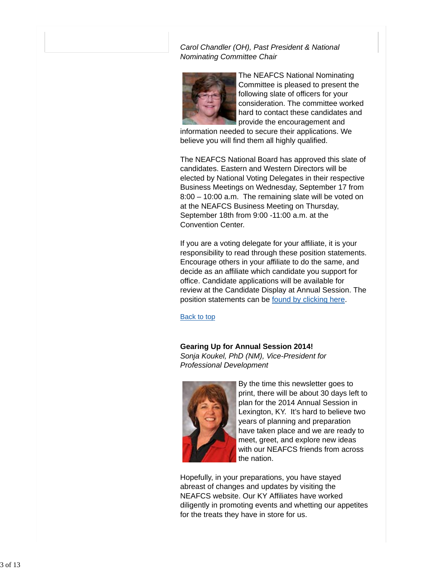*Carol Chandler (OH), Past President & National Nominating Committee Chair*



The NEAFCS National Nominating Committee is pleased to present the following slate of officers for your consideration. The committee worked hard to contact these candidates and provide the encouragement and

information needed to secure their applications. We believe you will find them all highly qualified.

The NEAFCS National Board has approved this slate of candidates. Eastern and Western Directors will be elected by National Voting Delegates in their respective Business Meetings on Wednesday, September 17 from 8:00 – 10:00 a.m. The remaining slate will be voted on at the NEAFCS Business Meeting on Thursday, September 18th from 9:00 -11:00 a.m. at the Convention Center.

If you are a voting delegate for your affiliate, it is your responsibility to read through these position statements. Encourage others in your affiliate to do the same, and decide as an affiliate which candidate you support for office. Candidate applications will be available for review at the Candidate Display at Annual Session. The position statements can be found by clicking here.

Back to top

**Gearing Up for Annual Session 2014!** *Sonja Koukel, PhD (NM), Vice-President for Professional Development*



By the time this newsletter goes to print, there will be about 30 days left to plan for the 2014 Annual Session in Lexington, KY. It's hard to believe two years of planning and preparation have taken place and we are ready to meet, greet, and explore new ideas with our NEAFCS friends from across the nation.

Hopefully, in your preparations, you have stayed abreast of changes and updates by visiting the NEAFCS website. Our KY Affiliates have worked diligently in promoting events and whetting our appetites for the treats they have in store for us.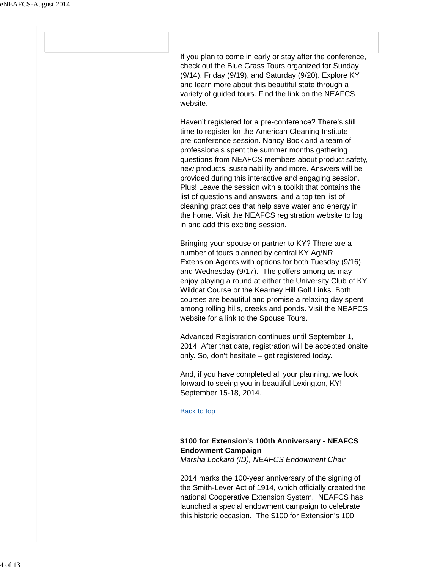If you plan to come in early or stay after the conference, check out the Blue Grass Tours organized for Sunday (9/14), Friday (9/19), and Saturday (9/20). Explore KY and learn more about this beautiful state through a variety of guided tours. Find the link on the NEAFCS website.

Haven't registered for a pre-conference? There's still time to register for the American Cleaning Institute pre-conference session. Nancy Bock and a team of professionals spent the summer months gathering questions from NEAFCS members about product safety, new products, sustainability and more. Answers will be provided during this interactive and engaging session. Plus! Leave the session with a toolkit that contains the list of questions and answers, and a top ten list of cleaning practices that help save water and energy in the home. Visit the NEAFCS registration website to log in and add this exciting session.

Bringing your spouse or partner to KY? There are a number of tours planned by central KY Ag/NR Extension Agents with options for both Tuesday (9/16) and Wednesday (9/17). The golfers among us may enjoy playing a round at either the University Club of KY Wildcat Course or the Kearney Hill Golf Links. Both courses are beautiful and promise a relaxing day spent among rolling hills, creeks and ponds. Visit the NEAFCS website for a link to the Spouse Tours.

Advanced Registration continues until September 1, 2014. After that date, registration will be accepted onsite only. So, don't hesitate – get registered today.

And, if you have completed all your planning, we look forward to seeing you in beautiful Lexington, KY! September 15-18, 2014.

#### Back to top

# **\$100 for Extension's 100th Anniversary - NEAFCS Endowment Campaign**

*Marsha Lockard (ID), NEAFCS Endowment Chair*

2014 marks the 100-year anniversary of the signing of the Smith-Lever Act of 1914, which officially created the national Cooperative Extension System. NEAFCS has launched a special endowment campaign to celebrate this historic occasion. The \$100 for Extension's 100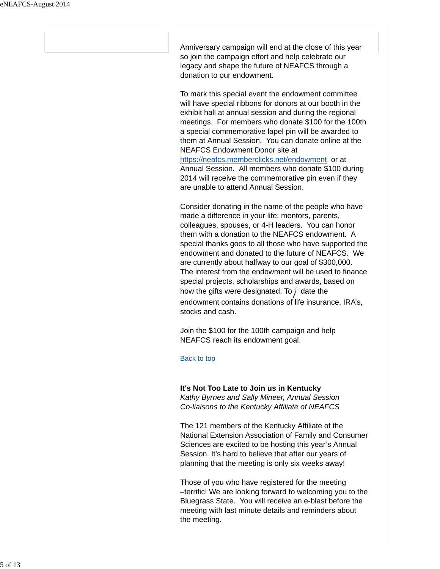Anniversary campaign will end at the close of this year so join the campaign effort and help celebrate our legacy and shape the future of NEAFCS through a donation to our endowment.

To mark this special event the endowment committee will have special ribbons for donors at our booth in the exhibit hall at annual session and during the regional meetings. For members who donate \$100 for the 100th a special commemorative lapel pin will be awarded to them at Annual Session. You can donate online at the NEAFCS Endowment Donor site at https://neafcs.memberclicks.net/endowment or at

Annual Session. All members who donate \$100 during 2014 will receive the commemorative pin even if they are unable to attend Annual Session.

Consider donating in the name of the people who have made a difference in your life: mentors, parents, colleagues, spouses, or 4-H leaders. You can honor them with a donation to the NEAFCS endowment. A special thanks goes to all those who have supported the endowment and donated to the future of NEAFCS. We are currently about halfway to our goal of \$300,000. The interest from the endowment will be used to finance special projects, scholarships and awards, based on how the gifts were designated. To date the endowment contains donations of life insurance, IRA's, stocks and cash.

Join the \$100 for the 100th campaign and help NEAFCS reach its endowment goal.

Back to top

#### **It's Not Too Late to Join us in Kentucky**

*Kathy Byrnes and Sally Mineer, Annual Session Co-liaisons to the Kentucky Affiliate of NEAFCS*

The 121 members of the Kentucky Affiliate of the National Extension Association of Family and Consumer Sciences are excited to be hosting this year's Annual Session. It's hard to believe that after our years of planning that the meeting is only six weeks away!

Those of you who have registered for the meeting –terrific! We are looking forward to welcoming you to the Bluegrass State. You will receive an e-blast before the meeting with last minute details and reminders about the meeting.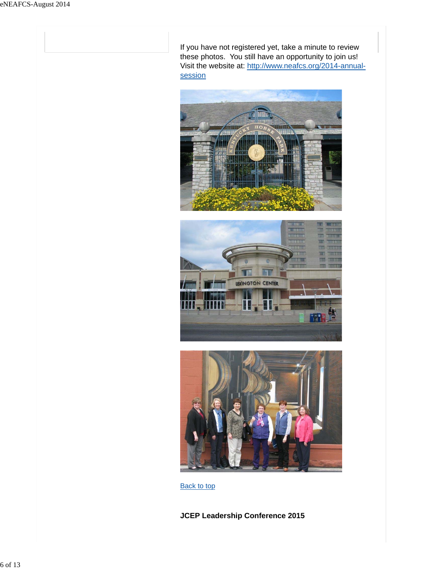If you have not registered yet, take a minute to review these photos. You still have an opportunity to join us! Visit the website at: http://www.neafcs.org/2014-annualsession







**Back to top** 

**JCEP Leadership Conference 2015**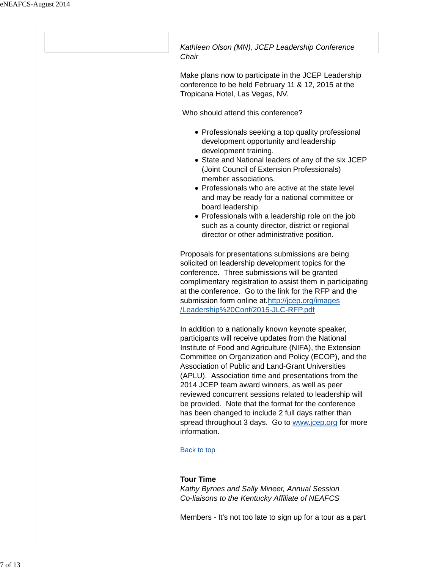*Kathleen Olson (MN), JCEP Leadership Conference Chair*

Make plans now to participate in the JCEP Leadership conference to be held February 11 & 12, 2015 at the Tropicana Hotel, Las Vegas, NV.

Who should attend this conference?

- Professionals seeking a top quality professional development opportunity and leadership development training.
- State and National leaders of any of the six JCEP (Joint Council of Extension Professionals) member associations.
- Professionals who are active at the state level and may be ready for a national committee or board leadership.
- Professionals with a leadership role on the job such as a county director, district or regional director or other administrative position.

Proposals for presentations submissions are being solicited on leadership development topics for the conference. Three submissions will be granted complimentary registration to assist them in participating at the conference. Go to the link for the RFP and the submission form online at.http://jcep.org/images /Leadership%20Conf/2015-JLC-RFP.pdf

In addition to a nationally known keynote speaker, participants will receive updates from the National Institute of Food and Agriculture (NIFA), the Extension Committee on Organization and Policy (ECOP), and the Association of Public and Land-Grant Universities (APLU). Association time and presentations from the 2014 JCEP team award winners, as well as peer reviewed concurrent sessions related to leadership will be provided. Note that the format for the conference has been changed to include 2 full days rather than spread throughout 3 days. Go to www.jcep.org for more information.

## Back to top

## **Tour Time**

*Kathy Byrnes and Sally Mineer, Annual Session Co-liaisons to the Kentucky Affiliate of NEAFCS*

Members - It's not too late to sign up for a tour as a part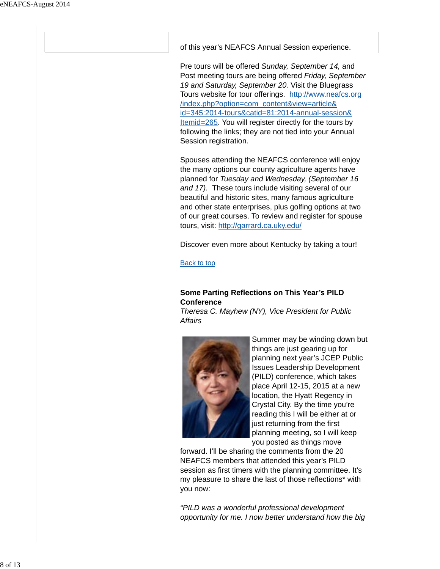of this year's NEAFCS Annual Session experience.

Pre tours will be offered *Sunday, September 14,* and Post meeting tours are being offered *Friday, September 19 and Saturday, September 20.* Visit the Bluegrass Tours website for tour offerings. http://www.neafcs.org /index.php?option=com\_content&view=article& id=345:2014-tours&catid=81:2014-annual-session& Itemid=265. You will register directly for the tours by following the links; they are not tied into your Annual Session registration.

Spouses attending the NEAFCS conference will enjoy the many options our county agriculture agents have planned for *Tuesday and Wednesday, (September 16 and 17).* These tours include visiting several of our beautiful and historic sites, many famous agriculture and other state enterprises, plus golfing options at two of our great courses. To review and register for spouse tours, visit: http://garrard.ca.uky.edu/

Discover even more about Kentucky by taking a tour!

Back to top

# **Some Parting Reflections on This Year's PILD Conference**

*Theresa C. Mayhew (NY), Vice President for Public Affairs*



Summer may be winding down but things are just gearing up for planning next year's JCEP Public Issues Leadership Development (PILD) conference, which takes place April 12-15, 2015 at a new location, the Hyatt Regency in Crystal City. By the time you're reading this I will be either at or just returning from the first planning meeting, so I will keep you posted as things move

forward. I'll be sharing the comments from the 20 NEAFCS members that attended this year's PILD session as first timers with the planning committee. It's my pleasure to share the last of those reflections\* with you now:

*"PILD was a wonderful professional development opportunity for me. I now better understand how the big*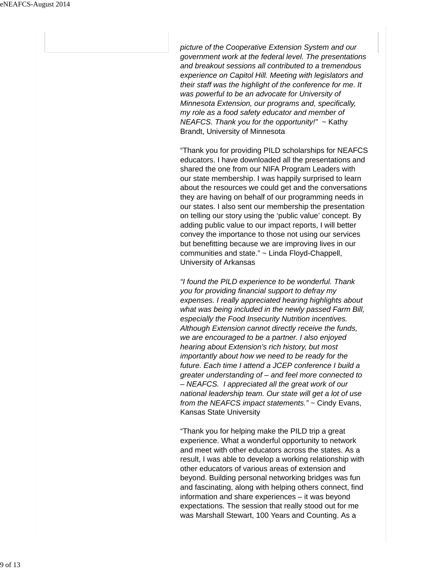*picture of the Cooperative Extension System and our government work at the federal level. The presentations and breakout sessions all contributed to a tremendous experience on Capitol Hill. Meeting with legislators and their staff was the highlight of the conference for me. It was powerful to be an advocate for University of Minnesota Extension, our programs and, specifically, my role as a food safety educator and member of NEAFCS. Thank you for the opportunity!"* ~ Kathy Brandt, University of Minnesota

"Thank you for providing PILD scholarships for NEAFCS educators. I have downloaded all the presentations and shared the one from our NIFA Program Leaders with our state membership. I was happily surprised to learn about the resources we could get and the conversations they are having on behalf of our programming needs in our states. I also sent our membership the presentation on telling our story using the 'public value' concept. By adding public value to our impact reports, I will better convey the importance to those not using our services but benefitting because we are improving lives in our communities and state." ~ Linda Floyd-Chappell, University of Arkansas

*"I found the PILD experience to be wonderful. Thank you for providing financial support to defray my expenses. I really appreciated hearing highlights about what was being included in the newly passed Farm Bill, especially the Food Insecurity Nutrition incentives. Although Extension cannot directly receive the funds, we are encouraged to be a partner. I also enjoyed hearing about Extension's rich history, but most importantly about how we need to be ready for the future. Each time I attend a JCEP conference I build a greater understanding of – and feel more connected to – NEAFCS. I appreciated all the great work of our national leadership team. Our state will get a lot of use from the NEAFCS impact statements."* ~ Cindy Evans, Kansas State University

"Thank you for helping make the PILD trip a great experience. What a wonderful opportunity to network and meet with other educators across the states. As a result, I was able to develop a working relationship with other educators of various areas of extension and beyond. Building personal networking bridges was fun and fascinating, along with helping others connect, find information and share experiences – it was beyond expectations. The session that really stood out for me was Marshall Stewart, 100 Years and Counting. As a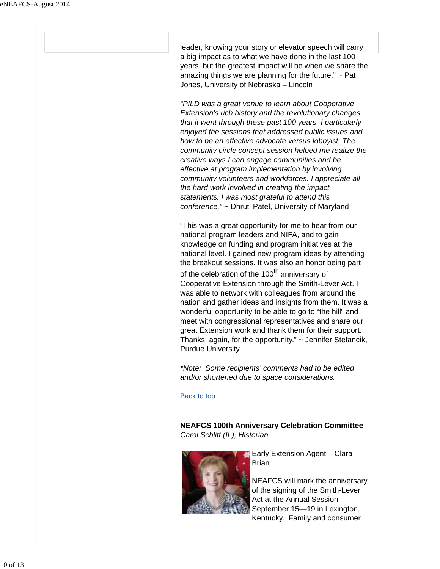leader, knowing your story or elevator speech will carry a big impact as to what we have done in the last 100 years, but the greatest impact will be when we share the amazing things we are planning for the future."  $\sim$  Pat Jones, University of Nebraska – Lincoln

*"PILD was a great venue to learn about Cooperative Extension's rich history and the revolutionary changes that it went through these past 100 years. I particularly enjoyed the sessions that addressed public issues and how to be an effective advocate versus lobbyist. The community circle concept session helped me realize the creative ways I can engage communities and be effective at program implementation by involving community volunteers and workforces. I appreciate all the hard work involved in creating the impact statements. I was most grateful to attend this conference."* ~ Dhruti Patel, University of Maryland

"This was a great opportunity for me to hear from our national program leaders and NIFA, and to gain knowledge on funding and program initiatives at the national level. I gained new program ideas by attending the breakout sessions. It was also an honor being part of the celebration of the 100<sup>th</sup> anniversary of Cooperative Extension through the Smith-Lever Act. I was able to network with colleagues from around the nation and gather ideas and insights from them. It was a wonderful opportunity to be able to go to "the hill" and meet with congressional representatives and share our great Extension work and thank them for their support. Thanks, again, for the opportunity." ~ Jennifer Stefancik, Purdue University

*\*Note: Some recipients' comments had to be edited and/or shortened due to space considerations.*

Back to top

**NEAFCS 100th Anniversary Celebration Committee** *Carol Schlitt (IL), Historian*



**Early Extension Agent – Clara** Brian

NEAFCS will mark the anniversary of the signing of the Smith-Lever Act at the Annual Session September 15—19 in Lexington, Kentucky. Family and consumer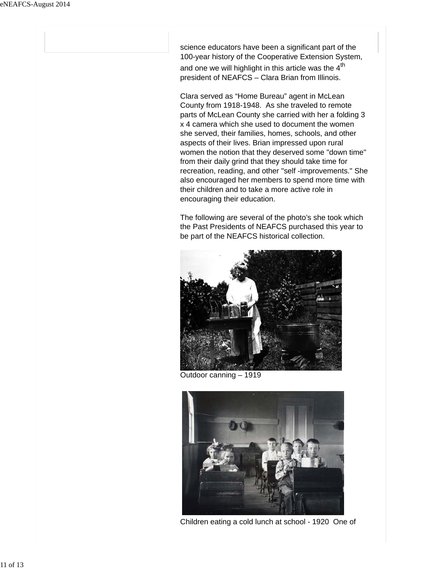science educators have been a significant part of the 100-year history of the Cooperative Extension System, and one we will highlight in this article was the  $4<sup>th</sup>$ president of NEAFCS – Clara Brian from Illinois.

Clara served as "Home Bureau" agent in McLean County from 1918-1948. As she traveled to remote parts of McLean County she carried with her a folding 3 x 4 camera which she used to document the women she served, their families, homes, schools, and other aspects of their lives. Brian impressed upon rural women the notion that they deserved some "down time" from their daily grind that they should take time for recreation, reading, and other "self -improvements." She also encouraged her members to spend more time with their children and to take a more active role in encouraging their education.

The following are several of the photo's she took which the Past Presidents of NEAFCS purchased this year to be part of the NEAFCS historical collection.



Outdoor canning – 1919



Children eating a cold lunch at school - 1920 One of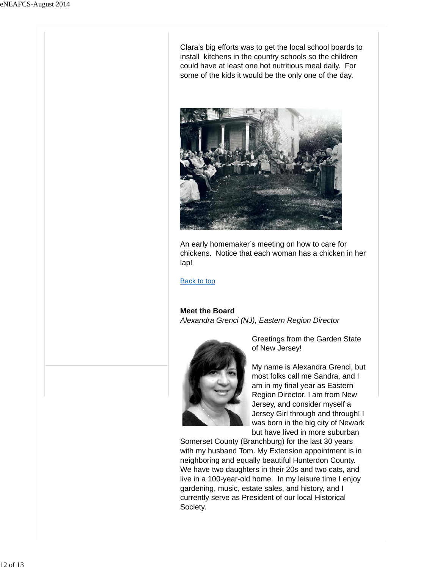Clara's big efforts was to get the local school boards to install kitchens in the country schools so the children could have at least one hot nutritious meal daily. For some of the kids it would be the only one of the day.



An early homemaker's meeting on how to care for chickens. Notice that each woman has a chicken in her lap!

Back to top

#### **Meet the Board**

*Alexandra Grenci (NJ), Eastern Region Director*



Greetings from the Garden State of New Jersey!

My name is Alexandra Grenci, but most folks call me Sandra, and I am in my final year as Eastern Region Director. I am from New Jersey, and consider myself a Jersey Girl through and through! I was born in the big city of Newark but have lived in more suburban

Somerset County (Branchburg) for the last 30 years with my husband Tom. My Extension appointment is in neighboring and equally beautiful Hunterdon County. We have two daughters in their 20s and two cats, and live in a 100-year-old home. In my leisure time I enjoy gardening, music, estate sales, and history, and I currently serve as President of our local Historical Society.